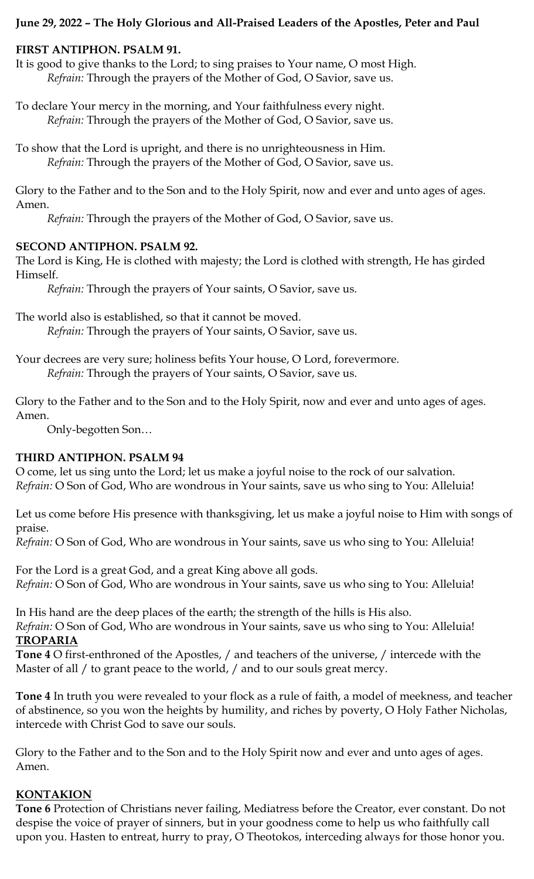# **June 29, 2022 – The Holy Glorious and All-Praised Leaders of the Apostles, Peter and Paul**

# **FIRST ANTIPHON. PSALM 91.**

It is good to give thanks to the Lord; to sing praises to Your name, O most High. *Refrain:* Through the prayers of the Mother of God, O Savior, save us.

To declare Your mercy in the morning, and Your faithfulness every night. *Refrain:* Through the prayers of the Mother of God, O Savior, save us.

To show that the Lord is upright, and there is no unrighteousness in Him. *Refrain:* Through the prayers of the Mother of God, O Savior, save us.

Glory to the Father and to the Son and to the Holy Spirit, now and ever and unto ages of ages. Amen.

*Refrain:* Through the prayers of the Mother of God, O Savior, save us.

# **SECOND ANTIPHON. PSALM 92.**

The Lord is King, He is clothed with majesty; the Lord is clothed with strength, He has girded Himself.

*Refrain:* Through the prayers of Your saints, O Savior, save us.

The world also is established, so that it cannot be moved. *Refrain:* Through the prayers of Your saints, O Savior, save us.

Your decrees are very sure; holiness befits Your house, O Lord, forevermore. *Refrain:* Through the prayers of Your saints, O Savior, save us.

Glory to the Father and to the Son and to the Holy Spirit, now and ever and unto ages of ages. Amen.

Only-begotten Son…

# **THIRD ANTIPHON. PSALM 94**

O come, let us sing unto the Lord; let us make a joyful noise to the rock of our salvation. *Refrain:* O Son of God, Who are wondrous in Your saints, save us who sing to You: Alleluia!

Let us come before His presence with thanksgiving, let us make a joyful noise to Him with songs of praise.

*Refrain:* O Son of God, Who are wondrous in Your saints, save us who sing to You: Alleluia!

For the Lord is a great God, and a great King above all gods. *Refrain:* O Son of God, Who are wondrous in Your saints, save us who sing to You: Alleluia!

In His hand are the deep places of the earth; the strength of the hills is His also.

*Refrain:* O Son of God, Who are wondrous in Your saints, save us who sing to You: Alleluia! **TROPARIA**

**Tone 4** O first-enthroned of the Apostles, / and teachers of the universe, / intercede with the Master of all / to grant peace to the world, / and to our souls great mercy.

**Tone 4** In truth you were revealed to your flock as a rule of faith, a model of meekness, and teacher of abstinence, so you won the heights by humility, and riches by poverty, O Holy Father Nicholas, intercede with Christ God to save our souls.

Glory to the Father and to the Son and to the Holy Spirit now and ever and unto ages of ages. Amen.

## **KONTAKION**

**Tone 6** Protection of Christians never failing, Mediatress before the Creator, ever constant. Do not despise the voice of prayer of sinners, but in your goodness come to help us who faithfully call upon you. Hasten to entreat, hurry to pray, O Theotokos, interceding always for those honor you.